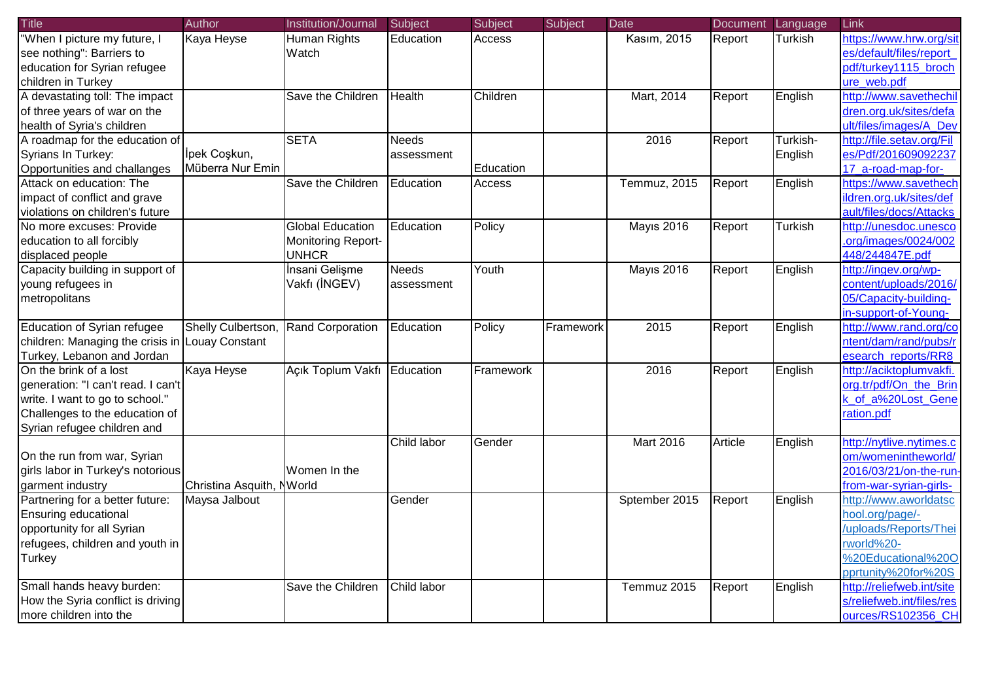| <b>Title</b>                                    | Author                    | Institution/Journal       | Subject       | Subject   | Subject   | Date              | Document Language |                | Link                      |
|-------------------------------------------------|---------------------------|---------------------------|---------------|-----------|-----------|-------------------|-------------------|----------------|---------------------------|
| "When I picture my future, I                    | Kaya Heyse                | Human Rights              | Education     | Access    |           | Kasım, 2015       | Report            | <b>Turkish</b> | https://www.hrw.org/sit   |
| see nothing": Barriers to                       |                           | Watch                     |               |           |           |                   |                   |                | es/default/files/report   |
| education for Syrian refugee                    |                           |                           |               |           |           |                   |                   |                | pdf/turkey1115 broch      |
| children in Turkey                              |                           |                           |               |           |           |                   |                   |                | ure web.pdf               |
| A devastating toll: The impact                  |                           | Save the Children         | <b>Health</b> | Children  |           | Mart, 2014        | Report            | English        | http://www.savethechil    |
| of three years of war on the                    |                           |                           |               |           |           |                   |                   |                | dren.org.uk/sites/defa    |
| health of Syria's children                      |                           |                           |               |           |           |                   |                   |                | ult/files/images/A Dev    |
| A roadmap for the education of                  |                           | <b>SETA</b>               | <b>Needs</b>  |           |           | 2016              | Report            | Turkish-       | http://file.setav.org/Fil |
| Syrians In Turkey:                              | İpek Coşkun,              |                           | assessment    |           |           |                   |                   | English        | es/Pdf/201609092237       |
| Opportunities and challanges                    | Müberra Nur Emin          |                           |               | Education |           |                   |                   |                | 17 a-road-map-for-        |
| Attack on education: The                        |                           | Save the Children         | Education     | Access    |           | Temmuz, 2015      | Report            | English        | https://www.savethech     |
| impact of conflict and grave                    |                           |                           |               |           |           |                   |                   |                | ildren.org.uk/sites/def   |
| violations on children's future                 |                           |                           |               |           |           |                   |                   |                | ault/files/docs/Attacks   |
| No more excuses: Provide                        |                           | <b>Global Education</b>   | Education     | Policy    |           | <b>Mayıs 2016</b> | Report            | <b>Turkish</b> | http://unesdoc.unesco     |
| education to all forcibly                       |                           | <b>Monitoring Report-</b> |               |           |           |                   |                   |                | .org/images/0024/002      |
| displaced people                                |                           | <b>UNHCR</b>              |               |           |           |                   |                   |                | 448/244847E.pdf           |
| Capacity building in support of                 |                           | İnsani Gelişme            | Needs         | Youth     |           | <b>Mayıs 2016</b> | Report            | English        | http://ingev.org/wp-      |
| young refugees in                               |                           | Vakfı (İNGEV)             | assessment    |           |           |                   |                   |                | content/uploads/2016/     |
| metropolitans                                   |                           |                           |               |           |           |                   |                   |                | 05/Capacity-building-     |
|                                                 |                           |                           |               |           |           |                   |                   |                | in-support-of-Young-      |
| <b>Education of Syrian refugee</b>              | Shelly Culbertson,        | Rand Corporation          | Education     | Policy    | Framework | 2015              | Report            | English        | http://www.rand.org/co    |
| children: Managing the crisis in Louay Constant |                           |                           |               |           |           |                   |                   |                | ntent/dam/rand/pubs/r     |
| Turkey, Lebanon and Jordan                      |                           |                           |               |           |           |                   |                   |                | esearch reports/RR8       |
| On the brink of a lost                          | Kaya Heyse                | Açık Toplum Vakfı         | Education     | Framework |           | 2016              | Report            | English        | http://aciktoplumvakfi.   |
| generation: "I can't read. I can't              |                           |                           |               |           |           |                   |                   |                | org.tr/pdf/On the Brin    |
| write. I want to go to school."                 |                           |                           |               |           |           |                   |                   |                | k_of_a%20Lost_Gene        |
| Challenges to the education of                  |                           |                           |               |           |           |                   |                   |                | ration.pdf                |
| Syrian refugee children and                     |                           |                           |               |           |           |                   |                   |                |                           |
|                                                 |                           |                           | Child labor   | Gender    |           | <b>Mart 2016</b>  | Article           | English        | http://nytlive.nytimes.c  |
| On the run from war, Syrian                     |                           |                           |               |           |           |                   |                   |                | om/womenintheworld/       |
| girls labor in Turkey's notorious               |                           | Women In the              |               |           |           |                   |                   |                | 2016/03/21/on-the-run-    |
| garment industry                                | Christina Asquith, NWorld |                           |               |           |           |                   |                   |                | from-war-syrian-girls-    |
| Partnering for a better future:                 | Maysa Jalbout             |                           | Gender        |           |           | Sptember 2015     | Report            | English        | http://www.aworldatsc     |
| Ensuring educational                            |                           |                           |               |           |           |                   |                   |                | hool.org/page/-           |
| opportunity for all Syrian                      |                           |                           |               |           |           |                   |                   |                | /uploads/Reports/Thei     |
| refugees, children and youth in                 |                           |                           |               |           |           |                   |                   |                | rworld%20-                |
| Turkey                                          |                           |                           |               |           |           |                   |                   |                | %20Educational%20O        |
|                                                 |                           |                           |               |           |           |                   |                   |                | pprtunity%20for%20S       |
| Small hands heavy burden:                       |                           | Save the Children         | Child labor   |           |           | Temmuz 2015       | Report            | English        | http://reliefweb.int/site |
| How the Syria conflict is driving               |                           |                           |               |           |           |                   |                   |                | s/reliefweb.int/files/res |
| more children into the                          |                           |                           |               |           |           |                   |                   |                | ources/RS102356_CH        |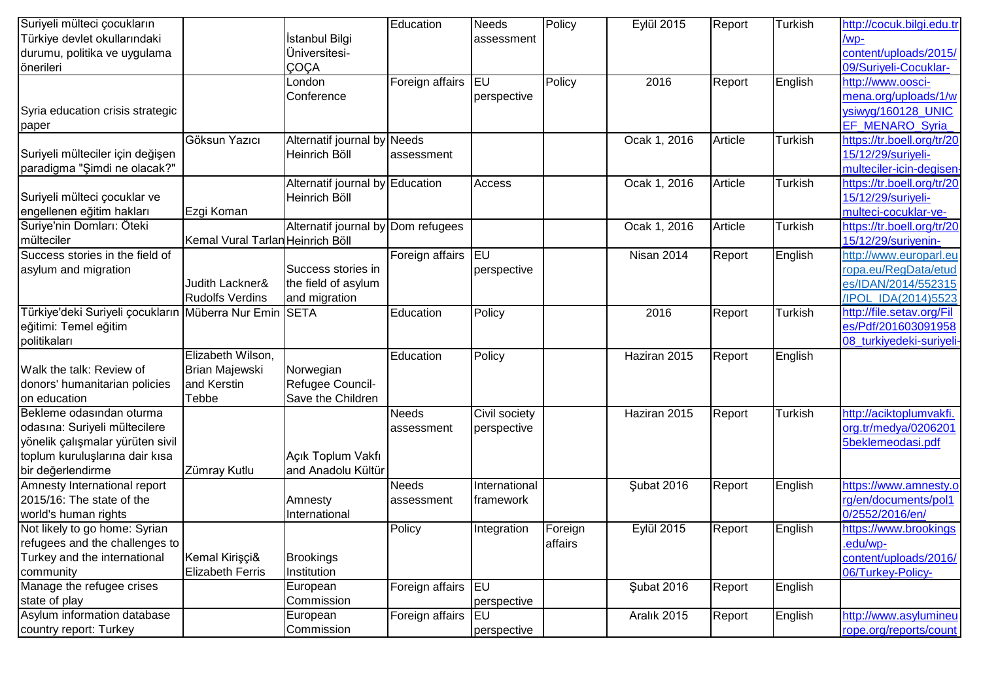| Suriyeli mülteci çocukların                            |                                  |                                    | Education          | <b>Needs</b>  | Policy  | <b>Eylül 2015</b> | Report  | Turkish        | http://cocuk.bilgi.edu.tr  |
|--------------------------------------------------------|----------------------------------|------------------------------------|--------------------|---------------|---------|-------------------|---------|----------------|----------------------------|
| Türkiye devlet okullarındaki                           |                                  | İstanbul Bilgi                     |                    | assessment    |         |                   |         |                | /wp-                       |
| durumu, politika ve uygulama                           |                                  | Üniversitesi-                      |                    |               |         |                   |         |                | content/uploads/2015/      |
| önerileri                                              |                                  | ÇOÇA                               |                    |               |         |                   |         |                | 09/Suriyeli-Cocuklar-      |
|                                                        |                                  | London                             | Foreign affairs EU |               | Policy  | 2016              | Report  | English        | http://www.oosci-          |
|                                                        |                                  | Conference                         |                    | perspective   |         |                   |         |                | mena.org/uploads/1/w       |
| Syria education crisis strategic                       |                                  |                                    |                    |               |         |                   |         |                | ysiwyg/160128_UNIC         |
| <b>paper</b>                                           |                                  |                                    |                    |               |         |                   |         |                | <b>EF MENARO Syria</b>     |
|                                                        | Göksun Yazıcı                    | Alternatif journal by              | Needs              |               |         | Ocak 1, 2016      | Article | <b>Turkish</b> | https://tr.boell.org/tr/20 |
| Suriyeli mülteciler için değişen                       |                                  | Heinrich Böll                      | assessment         |               |         |                   |         |                | 15/12/29/suriyeli-         |
| paradigma "Şimdi ne olacak?"                           |                                  |                                    |                    |               |         |                   |         |                | multeciler-icin-degisen-   |
|                                                        |                                  | Alternatif journal by Education    |                    | Access        |         | Ocak 1, 2016      | Article | Turkish        | https://tr.boell.org/tr/20 |
| Suriyeli mülteci çocuklar ve                           |                                  | Heinrich Böll                      |                    |               |         |                   |         |                | 15/12/29/suriyeli-         |
| engellenen eğitim hakları                              | Ezgi Koman                       |                                    |                    |               |         |                   |         |                | multeci-cocuklar-ve-       |
| Suriye'nin Domları: Öteki                              |                                  | Alternatif journal by Dom refugees |                    |               |         | Ocak 1, 2016      | Article | <b>Turkish</b> | https://tr.boell.org/tr/20 |
| mülteciler                                             | Kemal Vural Tarlan Heinrich Böll |                                    |                    |               |         |                   |         |                | 15/12/29/suriyenin-        |
| Success stories in the field of                        |                                  |                                    | Foreign affairs EU |               |         | <b>Nisan 2014</b> | Report  | English        | http://www.europarl.eu     |
| asylum and migration                                   |                                  | Success stories in                 |                    | perspective   |         |                   |         |                | ropa.eu/RegData/etud       |
|                                                        | Judith Lackner&                  | the field of asylum                |                    |               |         |                   |         |                | es/IDAN/2014/552315        |
|                                                        | <b>Rudolfs Verdins</b>           | and migration                      |                    |               |         |                   |         |                | /IPOL_IDA(2014)5523        |
| Türkiye'deki Suriyeli çocukların Müberra Nur Emin SETA |                                  |                                    | Education          | Policy        |         | 2016              | Report  | Turkish        | http://file.setav.org/Fil  |
| eğitimi: Temel eğitim                                  |                                  |                                    |                    |               |         |                   |         |                | es/Pdf/201603091958        |
| politikaları                                           |                                  |                                    |                    |               |         |                   |         |                | 08 turkiyedeki-suriyeli-   |
|                                                        | Elizabeth Wilson,                |                                    | Education          | Policy        |         | Haziran 2015      | Report  | English        |                            |
| Walk the talk: Review of                               | <b>Brian Majewski</b>            | Norwegian                          |                    |               |         |                   |         |                |                            |
| donors' humanitarian policies                          | and Kerstin                      | Refugee Council-                   |                    |               |         |                   |         |                |                            |
| on education                                           | Tebbe                            | Save the Children                  |                    |               |         |                   |         |                |                            |
| Bekleme odasından oturma                               |                                  |                                    | Needs              | Civil society |         | Haziran 2015      | Report  | Turkish        | http://aciktoplumvakfi.    |
| odasına: Suriyeli mültecilere                          |                                  |                                    | assessment         | perspective   |         |                   |         |                | org.tr/medya/0206201       |
| yönelik çalışmalar yürüten sivil                       |                                  |                                    |                    |               |         |                   |         |                | 5beklemeodasi.pdf          |
| toplum kuruluşlarına dair kısa                         |                                  | Açık Toplum Vakfı                  |                    |               |         |                   |         |                |                            |
| bir değerlendirme                                      | Zümray Kutlu                     | and Anadolu Kültür                 |                    |               |         |                   |         |                |                            |
| Amnesty International report                           |                                  |                                    | Needs              | International |         | Şubat 2016        | Report  | English        | https://www.amnesty.o      |
| 2015/16: The state of the                              |                                  | Amnesty                            | assessment         | framework     |         |                   |         |                | rg/en/documents/pol1       |
| world's human rights                                   |                                  | International                      |                    |               |         |                   |         |                | 0/2552/2016/en/            |
| Not likely to go home: Syrian                          |                                  |                                    | Policy             | Integration   | Foreign | <b>Eylül 2015</b> | Report  | English        | https://www.brookings      |
| refugees and the challenges to                         |                                  |                                    |                    |               | affairs |                   |         |                | .edu/wp-                   |
| Turkey and the international                           | Kemal Kirişçi&                   | <b>Brookings</b>                   |                    |               |         |                   |         |                | content/uploads/2016/      |
| community                                              | <b>Elizabeth Ferris</b>          | Institution                        |                    |               |         |                   |         |                | 06/Turkey-Policy-          |
| Manage the refugee crises                              |                                  | European                           | Foreign affairs EU |               |         | Şubat 2016        | Report  | English        |                            |
| state of play                                          |                                  | Commission                         |                    | perspective   |         |                   |         |                |                            |
| Asylum information database                            |                                  | European                           | Foreign affairs EU |               |         | Aralık 2015       | Report  | English        | http://www.asylumineu      |
| country report: Turkey                                 |                                  | Commission                         |                    | perspective   |         |                   |         |                | rope.org/reports/count     |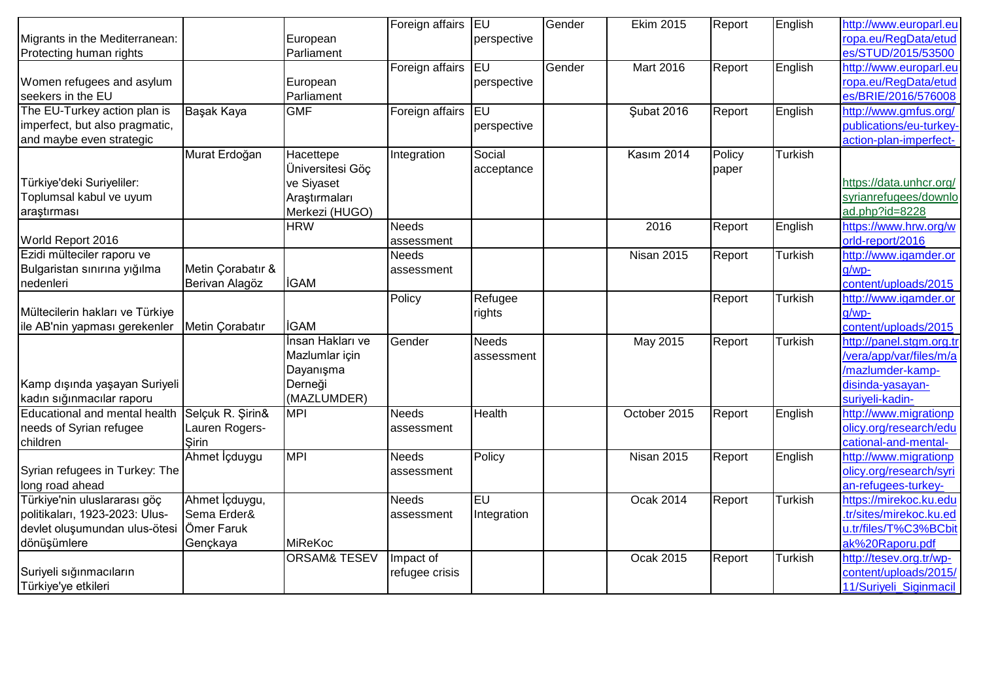|                                 |                   |                         | Foreign affairs EU |              | Gender | <b>Ekim 2015</b>  | Report | English        | http://www.europarl.eu   |
|---------------------------------|-------------------|-------------------------|--------------------|--------------|--------|-------------------|--------|----------------|--------------------------|
| Migrants in the Mediterranean:  |                   | European                |                    | perspective  |        |                   |        |                | ropa.eu/RegData/etud     |
| Protecting human rights         |                   | Parliament              |                    |              |        |                   |        |                | es/STUD/2015/53500       |
|                                 |                   |                         | Foreign affairs    | <b>IEU</b>   | Gender | Mart 2016         | Report | English        | http://www.europarl.eu   |
| Women refugees and asylum       |                   | European                |                    | perspective  |        |                   |        |                | ropa.eu/RegData/etud     |
| seekers in the EU               |                   | Parliament              |                    |              |        |                   |        |                | es/BRIE/2016/576008      |
| The EU-Turkey action plan is    | Başak Kaya        | <b>GMF</b>              | Foreign affairs EU |              |        | <b>Şubat 2016</b> | Report | English        | http://www.gmfus.org/    |
| imperfect, but also pragmatic,  |                   |                         |                    | perspective  |        |                   |        |                | publications/eu-turkey-  |
| and maybe even strategic        |                   |                         |                    |              |        |                   |        |                | action-plan-imperfect-   |
|                                 | Murat Erdoğan     | Hacettepe               | Integration        | Social       |        | Kasım 2014        | Policy | Turkish        |                          |
|                                 |                   | Üniversitesi Göç        |                    | acceptance   |        |                   | paper  |                |                          |
| Türkiye'deki Suriyeliler:       |                   | ve Siyaset              |                    |              |        |                   |        |                | https://data.unhcr.org/  |
| Toplumsal kabul ve uyum         |                   | Araştırmaları           |                    |              |        |                   |        |                | syrianrefugees/downlo    |
| araştırması                     |                   | Merkezi (HUGO)          |                    |              |        |                   |        |                | ad.php?id=8228           |
|                                 |                   | <b>HRW</b>              | <b>Needs</b>       |              |        | 2016              | Report | English        | https://www.hrw.org/w    |
| World Report 2016               |                   |                         | assessment         |              |        |                   |        |                | orld-report/2016         |
| Ezidi mülteciler raporu ve      |                   |                         | <b>Needs</b>       |              |        | <b>Nisan 2015</b> | Report | Turkish        | http://www.igamder.or    |
| Bulgaristan sınırına yığılma    | Metin Corabatır & |                         | assessment         |              |        |                   |        |                | g/wp-                    |
| nedenleri                       | Berivan Alagöz    | <b>İGAM</b>             |                    |              |        |                   |        |                | content/uploads/2015     |
|                                 |                   |                         | Policy             | Refugee      |        |                   | Report | <b>Turkish</b> | http://www.igamder.or    |
| Mültecilerin hakları ve Türkiye |                   |                         |                    | rights       |        |                   |        |                | g/wp-                    |
| ile AB'nin yapması gerekenler   | Metin Corabatır   | <b>İGAM</b>             |                    |              |        |                   |        |                | content/uploads/2015     |
|                                 |                   | İnsan Hakları ve        | Gender             | <b>Needs</b> |        | May 2015          | Report | <b>Turkish</b> | http://panel.stgm.org.tr |
|                                 |                   | Mazlumlar için          |                    | assessment   |        |                   |        |                | /vera/app/var/files/m/a  |
|                                 |                   | Dayanışma               |                    |              |        |                   |        |                | /mazlumder-kamp-         |
| Kamp dışında yaşayan Suriyeli   |                   | Derneği                 |                    |              |        |                   |        |                | disinda-yasayan-         |
| kadın sığınmacılar raporu       |                   | (MAZLUMDER)             |                    |              |        |                   |        |                | suriveli-kadin-          |
| Educational and mental health   | Selçuk R. Şirin&  | <b>MPI</b>              | <b>Needs</b>       | Health       |        | October 2015      | Report | English        | http://www.migrationp    |
| needs of Syrian refugee         | Lauren Rogers-    |                         | assessment         |              |        |                   |        |                | olicy.org/research/edu   |
| children                        | <b>Sirin</b>      |                         |                    |              |        |                   |        |                | cational-and-mental-     |
|                                 | Ahmet İçduygu     | <b>MPI</b>              | <b>Needs</b>       | Policy       |        | <b>Nisan 2015</b> | Report | English        | http://www.migrationp    |
| Syrian refugees in Turkey: The  |                   |                         | assessment         |              |        |                   |        |                | olicy.org/research/syri  |
| long road ahead                 |                   |                         |                    |              |        |                   |        |                | an-refugees-turkey-      |
| Türkiye'nin uluslararası göç    | Ahmet İçduygu,    |                         | <b>Needs</b>       | leu          |        | <b>Ocak 2014</b>  | Report | <b>Turkish</b> | https://mirekoc.ku.edu   |
| politikaları, 1923-2023: Ulus-  | Sema Erder&       |                         | assessment         | Integration  |        |                   |        |                | tr/sites/mirekoc.ku.ed   |
| devlet oluşumundan ulus-ötesi   | Ömer Faruk        |                         |                    |              |        |                   |        |                | u.tr/files/T%C3%BCbit    |
| dönüşümlere                     | Gençkaya          | MiReKoc                 |                    |              |        |                   |        |                | ak%20Raporu.pdf          |
|                                 |                   | <b>ORSAM&amp; TESEV</b> | Impact of          |              |        | <b>Ocak 2015</b>  | Report | <b>Turkish</b> | http://tesev.org.tr/wp-  |
| Suriyeli sığınmacıların         |                   |                         | refugee crisis     |              |        |                   |        |                | content/uploads/2015/    |
| Türkiye'ye etkileri             |                   |                         |                    |              |        |                   |        |                | 11/Suriyeli_Siginmacil   |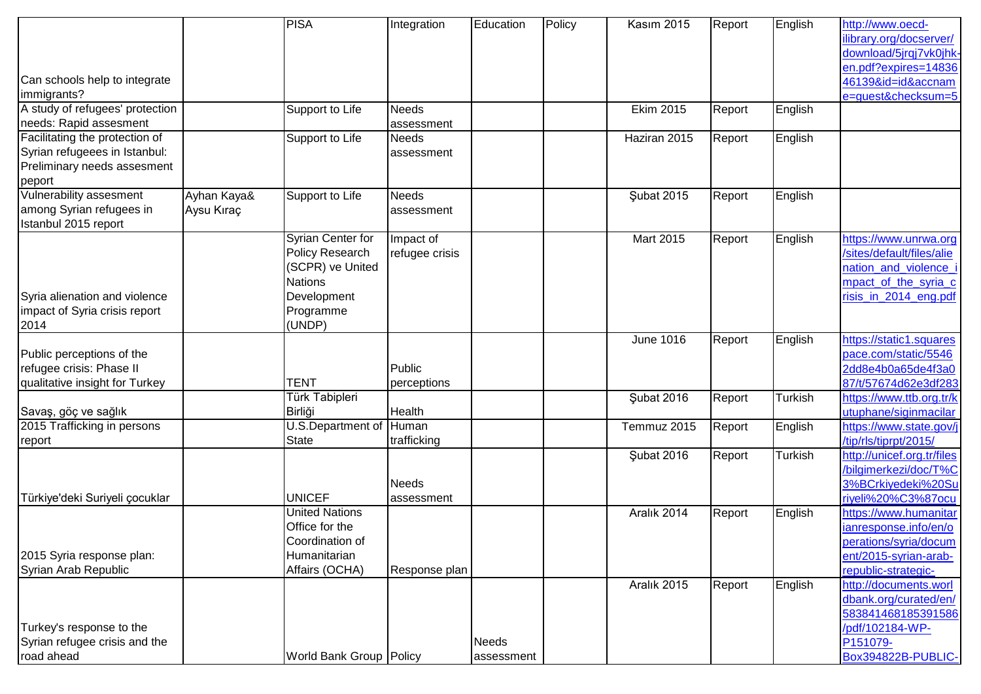|                                 |             | <b>PISA</b>               | Integration    | Education    | Policy | Kasım 2015   | Report | English        | http://www.oecd-           |
|---------------------------------|-------------|---------------------------|----------------|--------------|--------|--------------|--------|----------------|----------------------------|
|                                 |             |                           |                |              |        |              |        |                | library.org/docserver/     |
|                                 |             |                           |                |              |        |              |        |                | download/5jrgj7vk0jhk-     |
|                                 |             |                           |                |              |        |              |        |                | en.pdf?expires=14836       |
| Can schools help to integrate   |             |                           |                |              |        |              |        |                | 46139&id=id&accnam         |
| immigrants?                     |             |                           |                |              |        |              |        |                | e=quest&checksum=5         |
| A study of refugees' protection |             | Support to Life           | Needs          |              |        | Ekim 2015    | Report | English        |                            |
| needs: Rapid assesment          |             |                           | assessment     |              |        |              |        |                |                            |
| Facilitating the protection of  |             | Support to Life           | <b>Needs</b>   |              |        | Haziran 2015 | Report | English        |                            |
| Syrian refugeees in Istanbul:   |             |                           | assessment     |              |        |              |        |                |                            |
| Preliminary needs assesment     |             |                           |                |              |        |              |        |                |                            |
| peport                          |             |                           |                |              |        |              |        |                |                            |
| Vulnerability assesment         | Ayhan Kaya& | Support to Life           | Needs          |              |        | Şubat 2015   | Report | English        |                            |
| among Syrian refugees in        | Aysu Kıraç  |                           | assessment     |              |        |              |        |                |                            |
| Istanbul 2015 report            |             |                           |                |              |        |              |        |                |                            |
|                                 |             | <b>Syrian Center for</b>  | Impact of      |              |        | Mart 2015    | Report | English        | https://www.unrwa.org      |
|                                 |             | <b>Policy Research</b>    | refugee crisis |              |        |              |        |                | /sites/default/files/alie  |
|                                 |             | (SCPR) ve United          |                |              |        |              |        |                | nation and violence i      |
|                                 |             | <b>Nations</b>            |                |              |        |              |        |                | mpact of the syria c       |
| Syria alienation and violence   |             | Development               |                |              |        |              |        |                | risis_in_2014_eng.pdf      |
| impact of Syria crisis report   |             | Programme                 |                |              |        |              |        |                |                            |
| 2014                            |             | (UNDP)                    |                |              |        |              |        |                |                            |
|                                 |             |                           |                |              |        | June 1016    | Report | English        | https://static1.squares    |
| Public perceptions of the       |             |                           |                |              |        |              |        |                | pace.com/static/5546       |
| refugee crisis: Phase II        |             |                           | Public         |              |        |              |        |                | 2dd8e4b0a65de4f3a0         |
| qualitative insight for Turkey  |             | <b>TENT</b>               | perceptions    |              |        |              |        |                | 87/t/57674d62e3df283       |
|                                 |             | Türk Tabipleri            |                |              |        | Şubat 2016   | Report | <b>Turkish</b> | https://www.ttb.org.tr/k   |
| Savaş, göç ve sağlık            |             | Birliği                   | Health         |              |        |              |        |                | utuphane/siginmacilar      |
| 2015 Trafficking in persons     |             | U.S.Department of         | Human          |              |        | Temmuz 2015  | Report | English        | https://www.state.gov/j    |
| report                          |             | <b>State</b>              | trafficking    |              |        |              |        |                | /tip/rls/tiprpt/2015/      |
|                                 |             |                           |                |              |        | Şubat 2016   | Report | <b>Turkish</b> | http://unicef.org.tr/files |
|                                 |             |                           |                |              |        |              |        |                | /bilgimerkezi/doc/T%C      |
|                                 |             |                           | Needs          |              |        |              |        |                | 3%BCrkiyedeki%20Su         |
| Türkiye'deki Suriyeli çocuklar  |             | <b>UNICEF</b>             | assessment     |              |        |              |        |                | riyeli%20%C3%87ocu         |
|                                 |             | <b>United Nations</b>     |                |              |        | Aralık 2014  | Report | English        | https://www.humanitar      |
|                                 |             | Office for the            |                |              |        |              |        |                | ianresponse.info/en/o      |
|                                 |             | Coordination of           |                |              |        |              |        |                | perations/syria/docum      |
| 2015 Syria response plan:       |             | Humanitarian              |                |              |        |              |        |                | ent/2015-syrian-arab-      |
| Syrian Arab Republic            |             | Affairs (OCHA)            | Response plan  |              |        |              |        |                | republic-strategic-        |
|                                 |             |                           |                |              |        | Aralık 2015  | Report | English        | http://documents.worl      |
|                                 |             |                           |                |              |        |              |        |                | dbank.org/curated/en/      |
|                                 |             |                           |                |              |        |              |        |                | 583841468185391586         |
| Turkey's response to the        |             |                           |                |              |        |              |        |                | /pdf/102184-WP-            |
| Syrian refugee crisis and the   |             |                           |                | <b>Needs</b> |        |              |        |                | P151079-                   |
| road ahead                      |             | World Bank Group   Policy |                | assessment   |        |              |        |                | Box394822B-PUBLIC-         |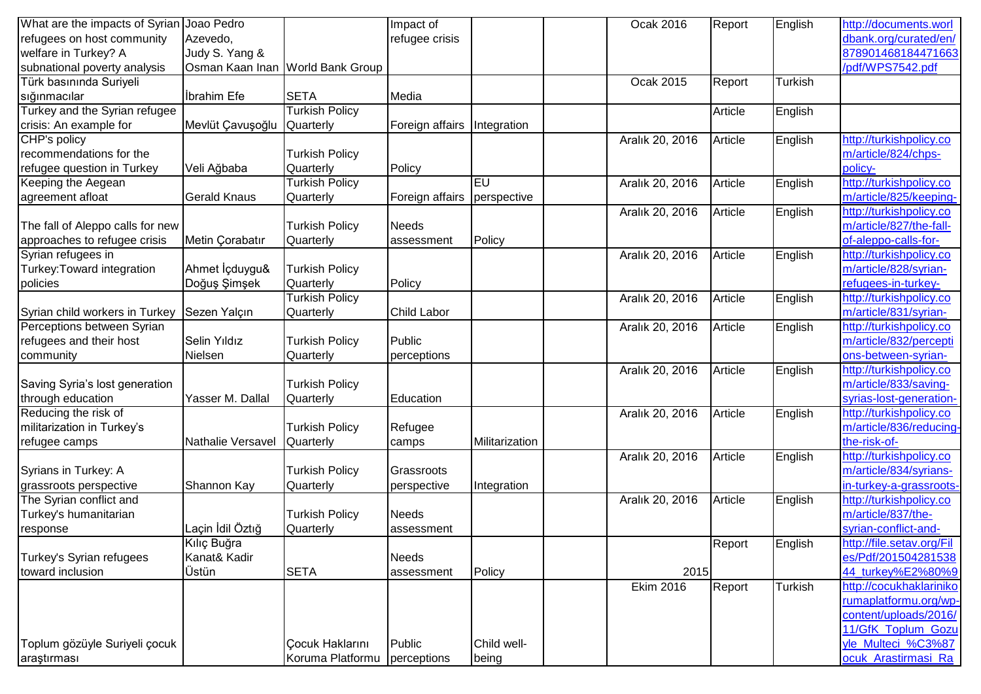| What are the impacts of Syrian   | Joao Pedro             |                                  | Impact of          |                | Ocak 2016        | Report  | English        | http://documents.worl     |
|----------------------------------|------------------------|----------------------------------|--------------------|----------------|------------------|---------|----------------|---------------------------|
| refugees on host community       | Azevedo,               |                                  | refugee crisis     |                |                  |         |                | dbank.org/curated/en/     |
| welfare in Turkey? A             | Judy S. Yang &         |                                  |                    |                |                  |         |                | 878901468184471663        |
| subnational poverty analysis     |                        | Osman Kaan Inan World Bank Group |                    |                |                  |         |                | /pdf/WPS7542.pdf          |
| Türk basınında Suriyeli          |                        |                                  |                    |                | Ocak 2015        | Report  | <b>Turkish</b> |                           |
| sığınmacılar                     | <b>Ibrahim</b> Efe     | <b>SETA</b>                      | Media              |                |                  |         |                |                           |
| Turkey and the Syrian refugee    |                        | <b>Turkish Policy</b>            |                    |                |                  | Article | English        |                           |
| crisis: An example for           | Mevlüt Çavuşoğlu       | Quarterly                        | Foreign affairs    | Integration    |                  |         |                |                           |
| CHP's policy                     |                        |                                  |                    |                | Aralık 20, 2016  | Article | English        | http://turkishpolicy.co   |
| recommendations for the          |                        | <b>Turkish Policy</b>            |                    |                |                  |         |                | m/article/824/chps-       |
| refugee question in Turkey       | Veli Ağbaba            | Quarterly                        | Policy             |                |                  |         |                | policy-                   |
| Keeping the Aegean               |                        | <b>Turkish Policy</b>            |                    | EU             | Aralık 20, 2016  | Article | English        | http://turkishpolicy.co   |
| agreement afloat                 | <b>Gerald Knaus</b>    | Quarterly                        | Foreign affairs    | perspective    |                  |         |                | m/article/825/keeping-    |
|                                  |                        |                                  |                    |                | Aralık 20, 2016  | Article | English        | http://turkishpolicy.co   |
| The fall of Aleppo calls for new |                        | <b>Turkish Policy</b>            | Needs              |                |                  |         |                | m/article/827/the-fall-   |
| approaches to refugee crisis     | Metin Corabatır        | Quarterly                        | assessment         | Policy         |                  |         |                | of-aleppo-calls-for-      |
| Syrian refugees in               |                        |                                  |                    |                | Aralık 20, 2016  | Article | English        | http://turkishpolicy.co   |
| Turkey: Toward integration       | Ahmet <i>i</i> cduygu& | <b>Turkish Policy</b>            |                    |                |                  |         |                | m/article/828/syrian-     |
| policies                         | Doğuş Şimşek           | Quarterly                        | Policy             |                |                  |         |                | refugees-in-turkey-       |
|                                  |                        | <b>Turkish Policy</b>            |                    |                | Aralık 20, 2016  | Article | English        | http://turkishpolicy.co   |
| Syrian child workers in Turkey   | Sezen Yalçın           | Quarterly                        | <b>Child Labor</b> |                |                  |         |                | m/article/831/syrian-     |
| Perceptions between Syrian       |                        |                                  |                    |                | Aralık 20, 2016  | Article | English        | http://turkishpolicy.co   |
| refugees and their host          | Selin Yıldız           | <b>Turkish Policy</b>            | Public             |                |                  |         |                | m/article/832/percepti    |
| community                        | Nielsen                | Quarterly                        | perceptions        |                |                  |         |                | ons-between-syrian-       |
|                                  |                        |                                  |                    |                | Aralık 20, 2016  | Article | English        | http://turkishpolicy.co   |
| Saving Syria's lost generation   |                        | <b>Turkish Policy</b>            |                    |                |                  |         |                | m/article/833/saving-     |
| through education                | Yasser M. Dallal       | Quarterly                        | Education          |                |                  |         |                | syrias-lost-generation-   |
| Reducing the risk of             |                        |                                  |                    |                | Aralık 20, 2016  | Article | English        | http://turkishpolicy.co   |
| militarization in Turkey's       |                        | <b>Turkish Policy</b>            | Refugee            |                |                  |         |                | m/article/836/reducing-   |
| refugee camps                    | Nathalie Versavel      | Quarterly                        | camps              | Militarization |                  |         |                | the-risk-of-              |
|                                  |                        |                                  |                    |                | Aralık 20, 2016  | Article | English        | http://turkishpolicy.co   |
| Syrians in Turkey: A             |                        | <b>Turkish Policy</b>            | Grassroots         |                |                  |         |                | m/article/834/syrians-    |
| grassroots perspective           | Shannon Kay            | Quarterly                        | perspective        | Integration    |                  |         |                | in-turkey-a-grassroots-   |
| The Syrian conflict and          |                        |                                  |                    |                | Aralık 20, 2016  | Article | English        | http://turkishpolicy.co   |
| Turkey's humanitarian            |                        | <b>Turkish Policy</b>            | <b>Needs</b>       |                |                  |         |                | m/article/837/the-        |
| response                         | Laçin İdil Öztığ       | Quarterly                        | assessment         |                |                  |         |                | syrian-conflict-and-      |
|                                  | Kılıç Buğra            |                                  |                    |                |                  | Report  | English        | http://file.setav.org/Fil |
| Turkey's Syrian refugees         | Kanat& Kadir           |                                  | Needs              |                |                  |         |                | es/Pdf/201504281538       |
| toward inclusion                 | Üstün                  | <b>SETA</b>                      | assessment         | Policy         | 2015             |         |                | 44_turkey%E2%80%9         |
|                                  |                        |                                  |                    |                | <b>Ekim 2016</b> | Report  | <b>Turkish</b> | http://cocukhaklariniko   |
|                                  |                        |                                  |                    |                |                  |         |                | rumaplatformu.org/wp-     |
|                                  |                        |                                  |                    |                |                  |         |                | content/uploads/2016/     |
|                                  |                        |                                  |                    |                |                  |         |                | 11/GfK_Toplum_Gozu        |
| Toplum gözüyle Suriyeli çocuk    |                        | <b>Çocuk Haklarını</b>           | Public             | Child well-    |                  |         |                | yle_Multeci_%C3%87        |
| araştırması                      |                        | Koruma Platformu                 | perceptions        | being          |                  |         |                | ocuk Arastirmasi Ra       |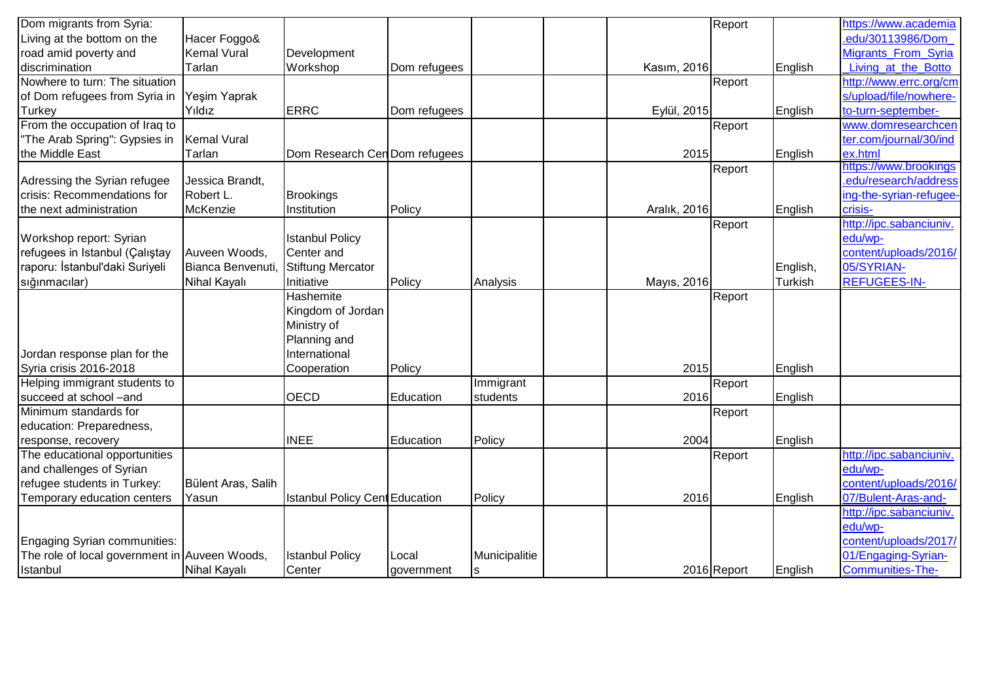| Dom migrants from Syria:                      |                     |                                       |              |               |              | Report      |                | https://www.academia    |
|-----------------------------------------------|---------------------|---------------------------------------|--------------|---------------|--------------|-------------|----------------|-------------------------|
| Living at the bottom on the                   | Hacer Foggo&        |                                       |              |               |              |             |                | .edu/30113986/Dom       |
| road amid poverty and                         | <b>Kemal Vural</b>  | Development                           |              |               |              |             |                | Migrants_From_Syria     |
| discrimination                                | Tarlan              | Workshop                              | Dom refugees |               | Kasım, 2016  |             | English        | Living at the Botto     |
| Nowhere to turn: The situation                |                     |                                       |              |               |              | Report      |                | http://www.errc.org/cm  |
| of Dom refugees from Syria in                 | Yeşim Yaprak        |                                       |              |               |              |             |                | s/upload/file/nowhere-  |
| <b>Turkey</b>                                 | Yıldız              | <b>ERRC</b>                           | Dom refugees |               | Eylül, 2015  |             | English        | to-turn-september-      |
| From the occupation of Iraq to                |                     |                                       |              |               |              | Report      |                | www.domresearchcen      |
| "The Arab Spring": Gypsies in                 | <b>Kemal Vural</b>  |                                       |              |               |              |             |                | ter.com/journal/30/ind  |
| the Middle East                               | Tarlan              | Dom Research Cen Dom refugees         |              |               | 2015         |             | English        | ex.html                 |
|                                               |                     |                                       |              |               |              | Report      |                | https://www.brookings   |
| Adressing the Syrian refugee                  | Jessica Brandt,     |                                       |              |               |              |             |                | .edu/research/address   |
| crisis: Recommendations for                   | Robert L.           | Brookings                             |              |               |              |             |                | ing-the-syrian-refugee- |
| the next administration                       | McKenzie            | Institution                           | Policy       |               | Aralık, 2016 |             | English        | crisis-                 |
|                                               |                     |                                       |              |               |              | Report      |                | http://ipc.sabanciuniv. |
| Workshop report: Syrian                       |                     | <b>Istanbul Policy</b>                |              |               |              |             |                | edu/wp-                 |
| refugees in Istanbul (Çalıştay                | Auveen Woods,       | Center and                            |              |               |              |             |                | content/uploads/2016/   |
| raporu: İstanbul'daki Suriyeli                | Bianca Benvenuti,   | Stiftung Mercator                     |              |               |              |             | English,       | 05/SYRIAN-              |
| sığınmacılar)                                 | Nihal Kayalı        | Initiative                            | Policy       | Analysis      | Mayıs, 2016  |             | <b>Turkish</b> | <b>REFUGEES-IN-</b>     |
|                                               |                     | Hashemite                             |              |               |              | Report      |                |                         |
|                                               |                     | Kingdom of Jordan                     |              |               |              |             |                |                         |
|                                               |                     | Ministry of                           |              |               |              |             |                |                         |
|                                               |                     | Planning and                          |              |               |              |             |                |                         |
| Jordan response plan for the                  |                     | International                         |              |               |              |             |                |                         |
| Syria crisis 2016-2018                        |                     | Cooperation                           | Policy       |               | 2015         |             | English        |                         |
| Helping immigrant students to                 |                     |                                       |              | Immigrant     |              | Report      |                |                         |
| succeed at school -and                        |                     | <b>OECD</b>                           | Education    | students      | 2016         |             | English        |                         |
| Minimum standards for                         |                     |                                       |              |               |              | Report      |                |                         |
| education: Preparedness,                      |                     |                                       |              |               |              |             |                |                         |
| response, recovery                            |                     | <b>INEE</b>                           | Education    | Policy        | 2004         |             | English        |                         |
| The educational opportunities                 |                     |                                       |              |               |              | Report      |                | http://ipc.sabanciuniv. |
| and challenges of Syrian                      |                     |                                       |              |               |              |             |                | edu/wp-                 |
| refugee students in Turkey:                   | Bülent Aras, Salih  |                                       |              |               |              |             |                | content/uploads/2016/   |
| Temporary education centers                   | Yasun               | <b>Istanbul Policy Cent Education</b> |              | Policy        | 2016         |             | English        | 07/Bulent-Aras-and-     |
|                                               |                     |                                       |              |               |              |             |                | http://ipc.sabanciuniv. |
|                                               |                     |                                       |              |               |              |             |                | edu/wp-                 |
| Engaging Syrian communities:                  |                     |                                       |              |               |              |             |                | content/uploads/2017/   |
| The role of local government in Auveen Woods, |                     | <b>Istanbul Policy</b>                | Local        | Municipalitie |              |             |                | 01/Engaging-Syrian-     |
| Istanbul                                      | <b>Nihal Kayalı</b> | Center                                | government   | ls            |              | 2016 Report | English        | <b>Communities-The-</b> |